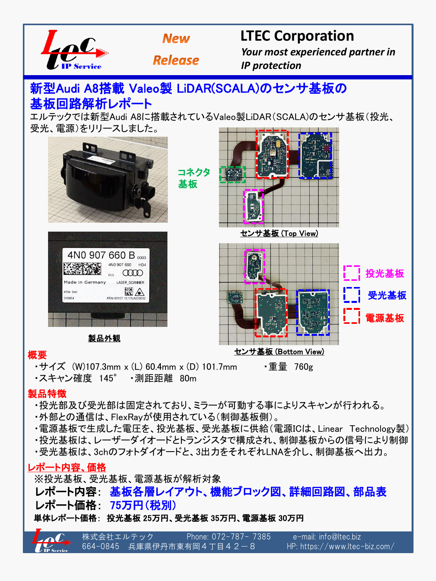



**Release** 

### **LTEC Corporation**

 *Your most experienced partner in IP protection*

# 新型Audi A8搭載 Valeo製 LiDAR(SCALA)のセンサ基板の 基板回路解析レポート

エルテックでは新型Audi A8に搭載されているValeo製LiDAR(SCALA)のセンサ基板(投光、 受光、電源)をリリースしました。



#### 概要

・サイズ (W)107.3mm x (L) 60.4mm x (D) 101.7mm ・重量 760g

・スキャン確度 145° ・測距距離 80m

### 製品特徴

- ・投光部及び受光部は固定されており、ミラーが可動する事によりスキャンが行われる。
- ・外部との通信は、FlexRayが使用されている(制御基板側)。
- ・電源基板で生成した電圧を、投光基板、受光基板に供給(電源ICは、Linear Technology製)
- ・投光基板は、レーザーダイオードとトランジスタで構成され、制御基板からの信号により制御
- ・受光基板は、3chのフォトダイオードと、3出力をそれぞれLNAを介し、制御基板へ出力。

### レポート内容、価格

 ※投光基板、受光基板、電源基板が解析対象 レポート内容: 基板各層レイアウト、機能ブロック図、詳細回路図、部品表 レポート価格: 75万円(税別) 単体レポート価格: 投光基板 25万円、受光基板 35万円、電源基板 30万円

株式会社エルテック Phone: 072-787- 7385 e-mail: info@ltec.biz 664-0845 兵庫県伊丹市東有岡4丁目42-8 HP: https://www.ltec-biz.com/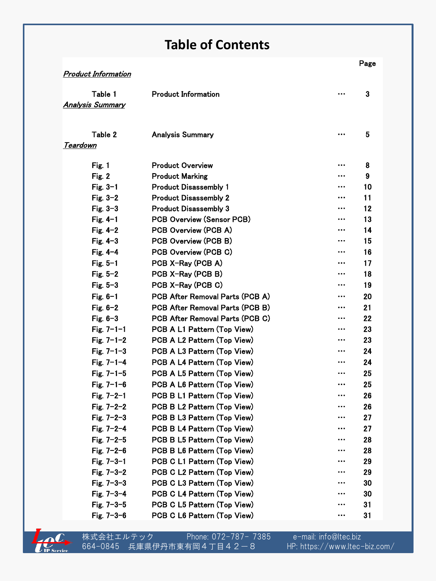### **Table of Contents**

|                            |                                  |   | Page |
|----------------------------|----------------------------------|---|------|
| <b>Product Information</b> |                                  |   |      |
| Table 1                    | <b>Product Information</b>       |   | 3    |
| <b>Analysis Summary</b>    |                                  |   |      |
|                            |                                  |   |      |
|                            |                                  |   |      |
| Table 2                    | <b>Analysis Summary</b>          |   | 5    |
| Teardown                   |                                  |   |      |
| Fig. 1                     | <b>Product Overview</b>          |   | 8    |
| Fig. 2                     | <b>Product Marking</b>           |   | 9    |
| Fig. $3-1$                 | <b>Product Disassembly 1</b>     |   | 10   |
| Fig. $3-2$                 | <b>Product Disassembly 2</b>     | . | 11   |
| Fig. $3-3$                 | <b>Product Disassembly 3</b>     |   | 12   |
| Fig. $4-1$                 | <b>PCB Overview (Sensor PCB)</b> |   | 13   |
| Fig. $4-2$                 | PCB Overview (PCB A)             |   | 14   |
| Fig. $4-3$                 | PCB Overview (PCB B)             |   | 15   |
| Fig. $4-4$                 | PCB Overview (PCB C)             |   | 16   |
| Fig. $5-1$                 | PCB X-Ray (PCB A)                | . | 17   |
| Fig. $5-2$                 | PCB X-Ray (PCB B)                | . | 18   |
| Fig. $5-3$                 | PCB X-Ray (PCB C)                |   | 19   |
| Fig. $6-1$                 | PCB After Removal Parts (PCB A)  |   | 20   |
| Fig. $6-2$                 | PCB After Removal Parts (PCB B)  | . | 21   |
| Fig. $6-3$                 | PCB After Removal Parts (PCB C)  |   | 22   |
| Fig. $7 - 1 - 1$           | PCB A L1 Pattern (Top View)      |   | 23   |
| Fig. $7 - 1 - 2$           | PCB A L2 Pattern (Top View)      |   | 23   |
| Fig. $7 - 1 - 3$           | PCB A L3 Pattern (Top View)      | . | 24   |
| Fig. $7 - 1 - 4$           | PCB A L4 Pattern (Top View)      | . | 24   |
| Fig. $7 - 1 - 5$           | PCB A L5 Pattern (Top View)      |   | 25   |
| Fig. $7 - 1 - 6$           | PCB A L6 Pattern (Top View)      | . | 25   |
| Fig. $7 - 2 - 1$           | PCB B L1 Pattern (Top View)      |   | 26   |
| Fig. $7 - 2 - 2$           | PCB B L2 Pattern (Top View)      |   | 26   |
| Fig. $7 - 2 - 3$           | PCB B L3 Pattern (Top View)      |   | 27   |
| Fig. $7 - 2 - 4$           | PCB B L4 Pattern (Top View)      |   | 27   |
| Fig. $7 - 2 - 5$           | PCB B L5 Pattern (Top View)      |   | 28   |
| Fig. $7 - 2 - 6$           | PCB B L6 Pattern (Top View)      |   | 28   |
| Fig. $7 - 3 - 1$           | PCB C L1 Pattern (Top View)      | . | 29   |
| Fig. $7 - 3 - 2$           | PCB C L2 Pattern (Top View)      |   | 29   |
| Fig. $7 - 3 - 3$           | PCB C L3 Pattern (Top View)      |   | 30   |
| Fig. 7-3-4                 | PCB C L4 Pattern (Top View)      |   | 30   |
| Fig. $7 - 3 - 5$           | PCB C L5 Pattern (Top View)      |   | 31   |
| Fig. $7 - 3 - 6$           | PCB C L6 Pattern (Top View)      |   | 31   |



株式会社エルテック Phone: 072-787- 7385 e-mail: info@ltec.biz 664-0845 兵庫県伊丹市東有岡4丁目42-8 HP: https://www.ltec-biz.com/